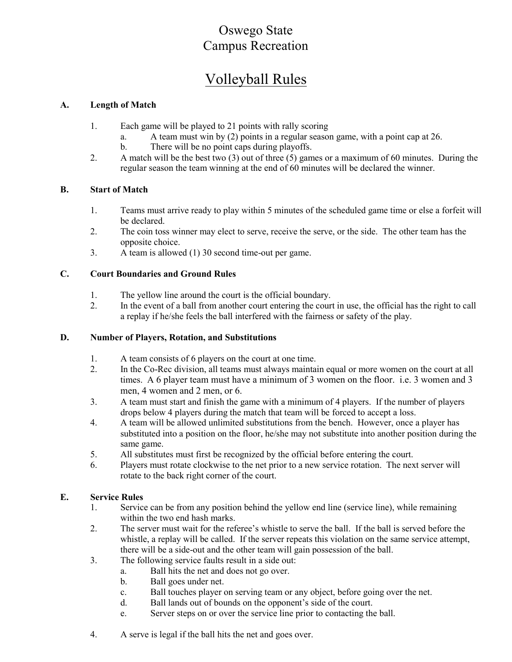## Oswego State Campus Recreation

# Volleyball Rules

#### A. Length of Match

- 1. Each game will be played to 21 points with rally scoring
	- a. A team must win by (2) points in a regular season game, with a point cap at 26.
	- b. There will be no point caps during playoffs.
- 2. A match will be the best two (3) out of three (5) games or a maximum of 60 minutes. During the regular season the team winning at the end of 60 minutes will be declared the winner.

#### B. Start of Match

- 1. Teams must arrive ready to play within 5 minutes of the scheduled game time or else a forfeit will be declared.
- 2. The coin toss winner may elect to serve, receive the serve, or the side. The other team has the opposite choice.
- 3. A team is allowed (1) 30 second time-out per game.

#### C. Court Boundaries and Ground Rules

- 1. The yellow line around the court is the official boundary.
- 2. In the event of a ball from another court entering the court in use, the official has the right to call a replay if he/she feels the ball interfered with the fairness or safety of the play.

#### D. Number of Players, Rotation, and Substitutions

- 1. A team consists of 6 players on the court at one time.
- 2. In the Co-Rec division, all teams must always maintain equal or more women on the court at all times. A 6 player team must have a minimum of 3 women on the floor. i.e. 3 women and 3 men, 4 women and 2 men, or 6.
- 3. A team must start and finish the game with a minimum of 4 players. If the number of players drops below 4 players during the match that team will be forced to accept a loss.
- 4. A team will be allowed unlimited substitutions from the bench. However, once a player has substituted into a position on the floor, he/she may not substitute into another position during the same game.
- 5. All substitutes must first be recognized by the official before entering the court.
- 6. Players must rotate clockwise to the net prior to a new service rotation. The next server will rotate to the back right corner of the court.

#### E. Service Rules

- 1. Service can be from any position behind the yellow end line (service line), while remaining within the two end hash marks.
- 2. The server must wait for the referee's whistle to serve the ball. If the ball is served before the whistle, a replay will be called. If the server repeats this violation on the same service attempt, there will be a side-out and the other team will gain possession of the ball.
- 3. The following service faults result in a side out:
	- a. Ball hits the net and does not go over.
	- b. Ball goes under net.
	- c. Ball touches player on serving team or any object, before going over the net.
	- d. Ball lands out of bounds on the opponent's side of the court.
	- e. Server steps on or over the service line prior to contacting the ball.
- 4. A serve is legal if the ball hits the net and goes over.